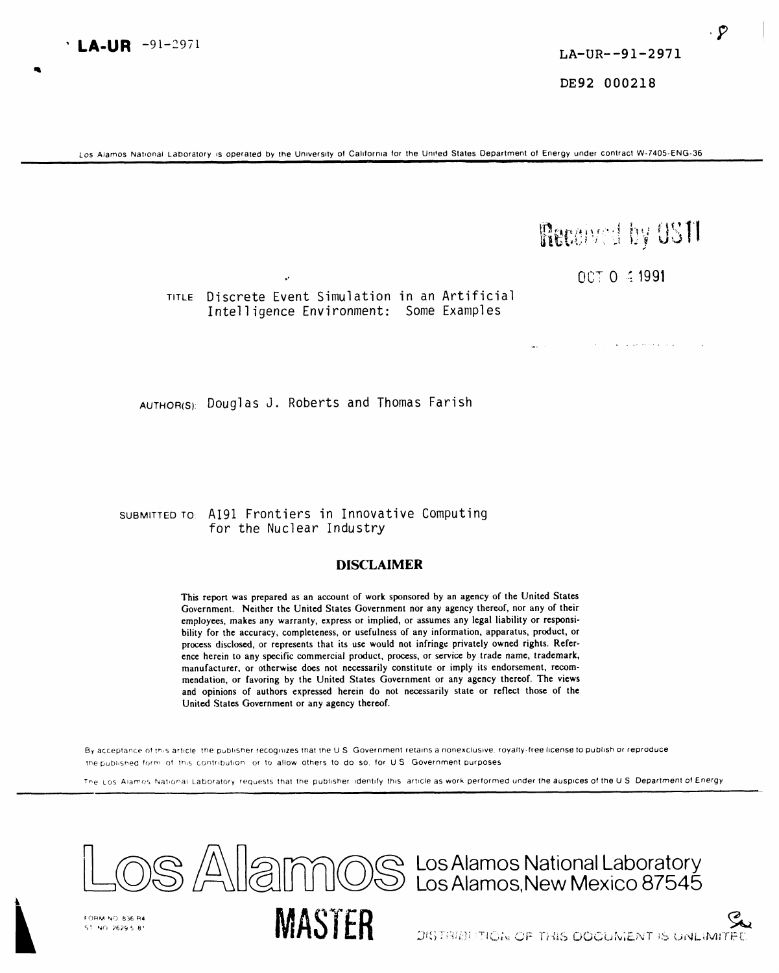DE92 000218

Los Alamos National Laboratory is operated by the University of California for the United States Department of Energy under contract W-7405-ENG-36

## Received by OSTI

OCT 0 4 1991

TITLE: Discrete Event Simulation in an Artificial Intelligence Environment: Some Examples

AUTHOR(S): Douglas J. Roberts and Thomas Farish

### SUBMITTED TO: A191 Frontiers in Innovative Computing for the Nuclear Industry

### **DISCLAIMER**

This report was prepared as an account of work sponsored by an agency of the United States Government. Neither the United States Government nor any agency thereof, nor any of their employees, makes any warranty, express or implied, or assumes any legal liability or responsibility for the accuracy, completeness, or usefulness of any information, apparatus, product, or process disclosed, or represents that its use would not infringe privately owned rights. Reference herein to any specific commercial product, process, or service by trade name, trademark, manufacturer, or otherwise does not necessarily constitute or imply its endorsement, recommendation, or favoring by the United States Government or any agency thereof. The views and opinions of authors expressed herein do not necessarily state or reflect those of the United States Government or any agency thereof.

By acceptance of this article, the publisher recognizes that the U.S. Government retains a nonexclusive, royalty-free license to publish or reproduce the published form of this contribution, or to allow others to do so, for U.S. Government purposes

The Los Alamos National Laboratory requests that the publisher identify this article as work performed under the auspices of the U.S. Department of Energy



**LA-UR**  $-91-2971$ 

DISTRIBUTION OF THIS DOOUMENT IS UNLIMITED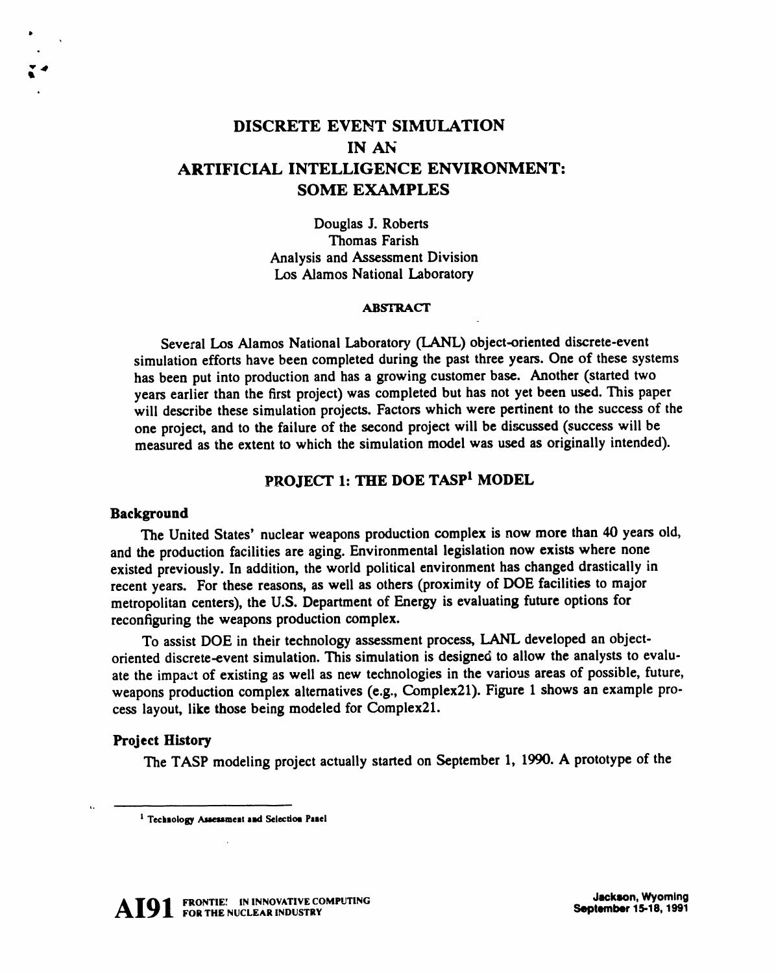### **DISCRETE EVE**N**T SIMULATION IN A***N* **ARTIFICIAL INTELLIGEN**C**E ENVIRONMENT: SOME EXAMPLES**

Do**ugl**a**s J**. **Rober**t**s T**h**om**a**s Farish** An**alysis** a**n**d Assessm**e**n**t** D**ivision** L**o**s Alam**os N**at**io**na**l L**a**bor**at**or**y

### A**BSTR**AC**T**

S**eve***c***al Los** Al**amo**s **N**a**tio**na**l Laboratory (LANL) object-oriented dis**c**rete-eve**n**t** simulation efforts have been completed during the past three years. One of these systems **ha**s **been put into produ**c**tion and ha**s **a growing c**us**tomer ba**se**. Another (started two** years earlier than the first project) was completed but has not yet been used. This paper will describe these simulation projects. Factors which were pertinent to the success of the one project, and to the failure of the second project will be discussed (success will be m**easured as the extent to whi**c**h the simulation** m**odel was used as originally intended).**

### **PROJE**C**T 1: THE DOE TASP t MODEL**

### **Background**

Th**e United State**s*'* **n**uc**lear weapons production** c**omplex is now more than** 4**0 yea**rs **old***,* **and the production fa**c**ilities are aging. Environmental legislation now exists where none existed previou**s**ly. In addition, the world political environment has changed drasti**c**ally in recent years. For these reaso**n**s, as well as others (proximity of DOE facilities to major** metropolitan centers), the U.S. Department of Energy is evaluating future options for **reconfig**u**ring the wea**po**ns production** c**omplex.**

T**o a**s**si**s**t D**O**E in their technolo**gy **as**sessm**ent pro**c**ess, LANL developed an obje**c**toriented dis**c**rete-**e**vent simulation.** Th**is** s**im**u**lation is d**e**signe**d **to allow the analy**s**ts to evalu**ate the impact of existing as well as new technologies in the various areas of possible, future, weapons production complex alternatives (e.g., Complex21). Figure 1 shows an example pro**c**e**ss layo**u**t, lik**e **thos**e **b**e**i**n**g mod**e**l**e**d for** C**o**m**pl**e**x2**1**.**

### **Project History**

The **TASP mod**e**ling proj**ec**t a**c**tually start**e**d on S**e**pt**em**b**e**r** 1*,* 1**990. A prototyp**e **of t**he



**t** Te**clm**m**ology**A\_**t**e**u**meat **a**n**d S**e**l**ec**tio**u **Pa**ae**l**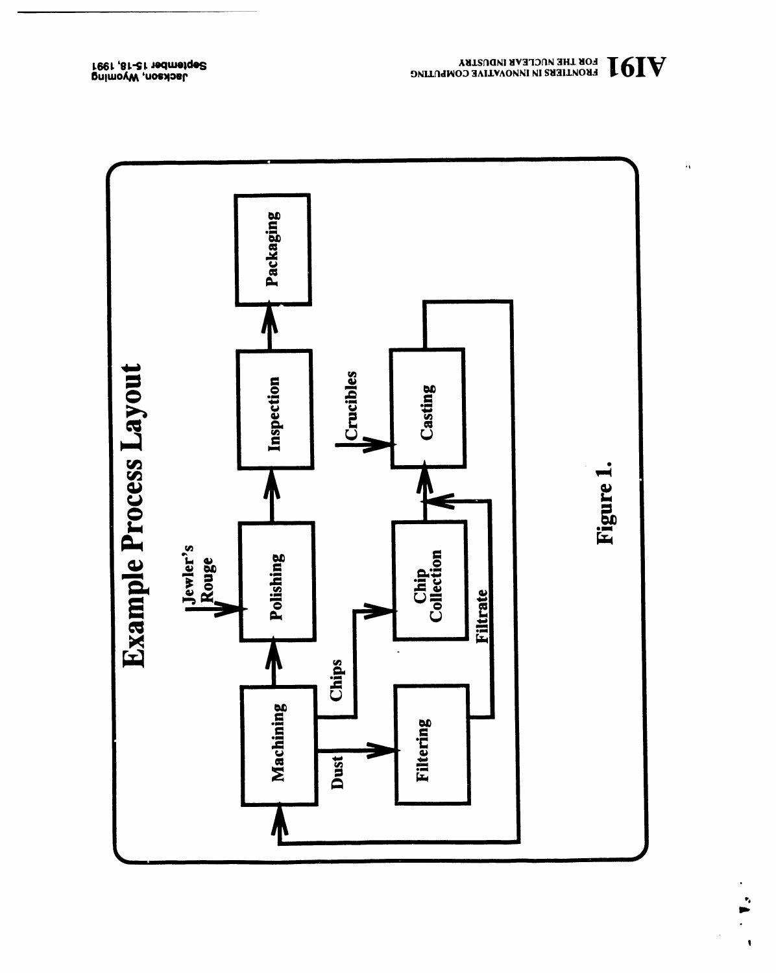

 $\mathbf{V}$  and the magnet impusters in the computing

 $\ddot{\phantom{a}}$ 

 $\ddot{\phantom{0}}$ 

 $\hat{\mathbf{t}}$ 

pnimovW ,nosdosL<br>reet ,81-21 tedmetge2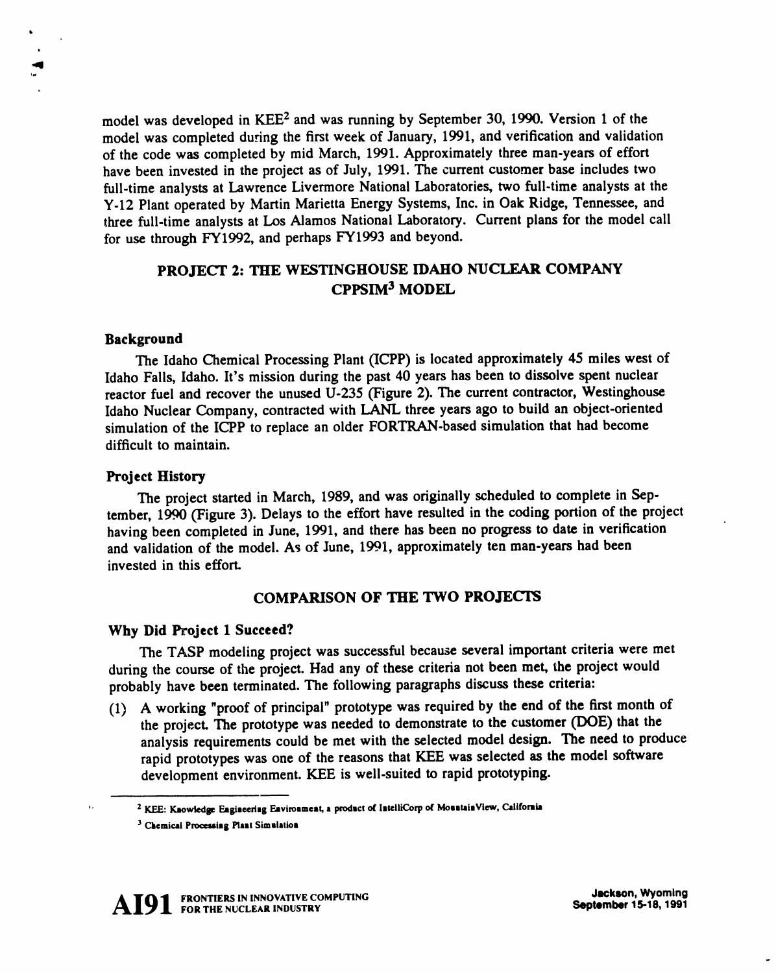model was **develo**ped **i**n K**EE2** and was **r**un**ning by** S**e**p**tem**b**er 30,** 1990. **Ver**s**ion** 1 **of the** model was completed during the first week of January, 1991, and verification and validation **of** th**e** c**od**e was c**o**mp**l**ete**d** by m**i**d Ma**r**ch**,** 1991. App**ro**x**im**at**el**y th**re**e **m**an**-**yea**r**s **of** eff**or**t have been invested in the project as of July, 1991. The current customer base includes two full-time analysts at Lawrence Livermore National Laboratories, two full-time analysts at the **Y-**1**2 Pl**ant **o**pe**r**at**ed** by Ma**r**t**i**n **M**a**ri**etta **E**ne**rg**y Syste**m**s**,** Inc. **i**n Oak **Ridge,** T**e**nnessee**,** and three full-time analysts at Los Alamos National Laboratory. Current plans for the model call **for** us**e** th**ro**u**gh** F**Y**199**2**, an**d** pe**r**haps *F***Y**199**3** an**d** bey**o**n**d**.

### P**ROJE**C**T 2**: **THE WE**S**T**IN**GHOU**S**E** I**D**A**HO NU**C*L***E**A**R** C**OMP**AN**Y** C**PP**SI**M** 3 **MODEL**

### **Background**

**s** *,*,a**l**

> The Idaho Chemical Processing Plant (ICPP) is located approximately 45 miles west of I**daho Falls, Idaho. It's** m**ission during the past 40 years has been to dis**s**olve spent nuclear rea**c**tor fuel and recover the unu**s**ed U**-**2**35 **(Figure 2).** Th**e** c**urrent** c**ontractor, Westinghou**se **Idaho Nu**c**lear Company,** c**ontra**ct**ed with L**A**NL three year**s **ago t**o **build an obje**c**t**-**oriented simulation of the I**CT**P to repla**c**e an ol**d**er FORTRAN**-**ba**se**d simulation that had** b**e**c**ome dif**fic**ult to maintain.**

### **Proj**e**ct History**

Th**e** p**roject** s**ta**rt**ed i**n **March,** 1989**,** an**d wa**s **origi**n**ally sched**u**led to com**p**lete in Se**ptember, 1990 (Figure 3). Delays to the effort have resulted in the coding portion of the project having been completed in June, 1991, and there has been no progress to date in verification **a**n**d vali**d**ation of t**h**e m**od**el. A**s **of** Ju**ne,** 1**99**1**, approximately ten man-years had been inve**st**ed in this e**ff**or**t**.**

### **COMPARI**S**ON OF THE TWO PROJECTS**

### **Why Did Project 1 Su**c**ceed?**

**T**h**e T**A**SP mo**d**eling project was succe**ss**ful becau**s**e** se**veral i**mpo**rtant criteria were met** during the course of the project. Had any of these criteria not been met, the project would **proba**b**ly** h**ave** b**een terminate**d**. The following para**gr**ap**h**s** d**i**sc**u**ss **t**h**e**s**e criteria:**

**(1) A working "proof of prin**c**ipal" prototy**pe **was required by the end of the first month of t**h**e project. The prototype was needed to demon**s**trate to the** c**ustomer (DOE) t**h**at the a**n**alysis requirements co**u**ld be met wit**h **the selected model design.** Th**e need to pr**odu**ce rapid prototypes wa**s **one of t**h**e reasons that KEE was** s**ele**c**ted** as **the model** s**oftware de**v**elopment environment. KEE is well-suited** to **rapid prot**o**typing.**



*<sup>,</sup>*, **2 KEE: K**a**ow**l**edse Eagiaeertsg Eaviro**a**meat, a productof latelliCorpof MosataiaVlew,** C**alifornia**

<sup>3</sup> C**kemic**a**i Processi**n**g Plant** S**imula**t**io**n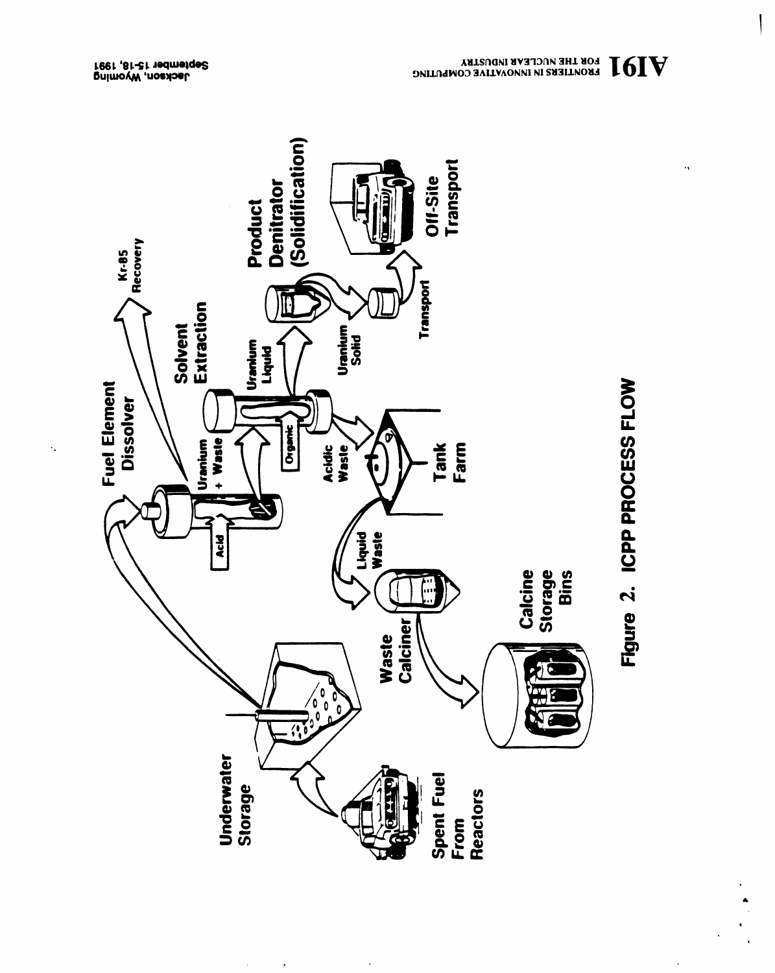

 $\alpha$ 

 $\hat{\mathbf{h}}$ 



 $\ddot{\phantom{0}}$ 

 $\ddot{\phantom{a}}$ 

pnimovW ,nosxbsL<br>1991 ,81-21 19dmetge2

 $\ddot{\phantom{a}}$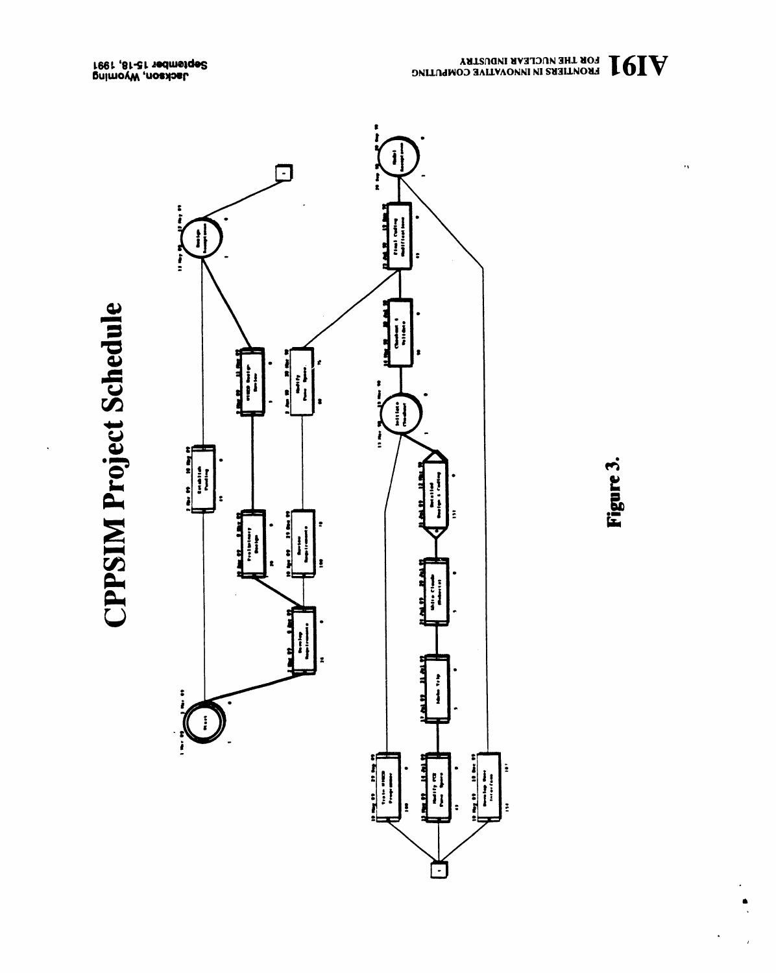# **CPPSIM Project Schedule**





 $\bar{\alpha}$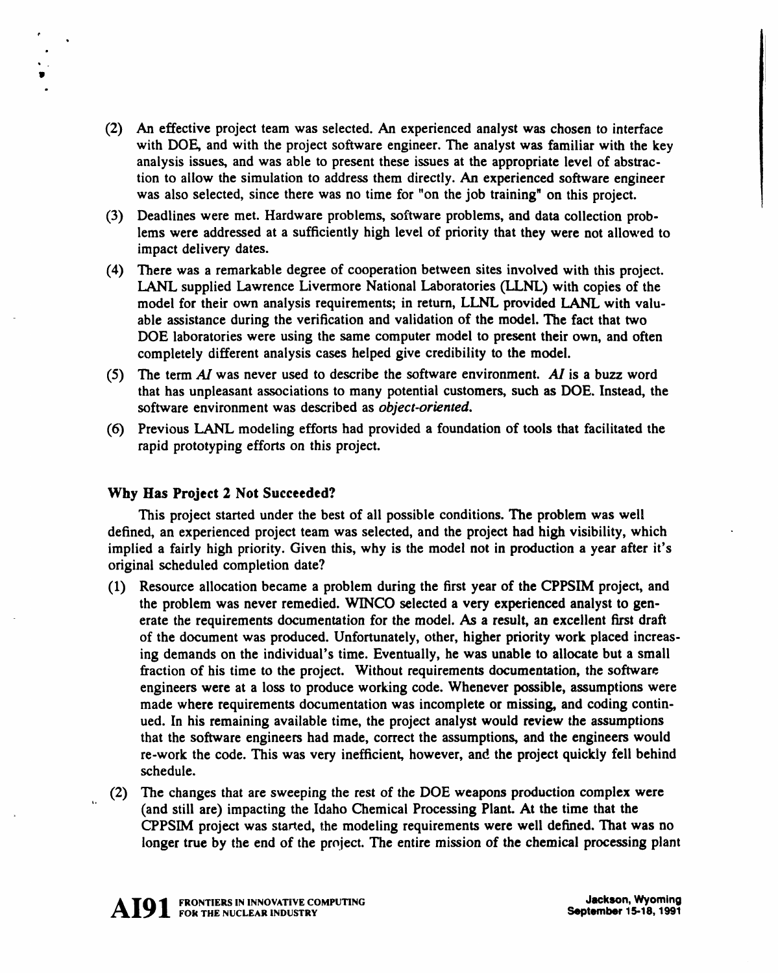- (**2**) **An e**ff**ective** p**roject team wa**s s**elected**. An **e**xp**erie**n**ced** ana**ly**s**t was cho**s**e**n **to i**n**terface with DOE, and with the project software engineer. The analyst w**as **familiar with the key analysis issue**s**, and was able to present these issues at the appropriate level of abstraction to allow the simulation to address them directly. An experienced software engineer** was also selected, since there was no time for "on the job training" on this project.
- **(3) Deadli**nes **w**e**r**e **m**et. **H**a**rdw**a**r**e p**robl**ems**,** s**of**t**w**a**r**e p**roblems,** an**d da**ta c**oll**ect**io**n p**rob**lems were addressed at a sufficiently high level of priority that they were not allowed to **im**pac**t d**e**liv**e**r**y **d**a**t**e**s**.
- (4) There was a remarkable degree of cooperation between sites involved with this project. LANL supplied Lawrence Livermore National Laboratories (LLNL) with copies of the model for their own analysis requirements; in return, LLNL provided LANL with valuable assistance during the verification and validation of the model. The fact that two DOE laboratories were using the same computer model to present their own, and often c**om**p**l**ete**ly diff**e**re**n**t** ana**l**ys**i**s cas**e**s helpe**d give** c**r**e**di**b**ilit**y t**o the model**.
- (5) The term  $AI$  was never used to describe the software environment. AI is a buzz word that has unpleasant associations to many potential customers, such as DOE. Instead, the s**oft**wa**re** en**viro**n**m**ent was **de**sc**ri**be**d** as *object*-*oriented*.
- (6) Previous LANL modeling efforts had provided a foundation of tools that facilitated the **r**ap**id** p**rotot**yp**i**n**g effor**ts **o**n **thi**s p**ro**j**e**ct.

### **Why Has Project 2 Not** S**ucceeded?**

*e*

W

Th**i**s p**ro**j**ec**t s**tar**t**ed** un**der the be**st **of ali** p**os**s**ible co**n**ditio**ns**. The** p**roblem w**as **well** defined, an experienced project team was selected, and the project had high visibility, which **implied** a **fairly high priority.** G**iven this, why i**s **the model not in production a year after it'**s **original scheduled** c**ompletion d**a**te?**

- (1) Resource allocation became a problem during the first year of the CPPSIM project, and t**he** p**robl**e**m w**as ne**ver remedied**. **W**I**N**CO s**el**ecte**d** a **ver**y **e**xpe**rie**nc**ed** ana**l**ys**t to ge**nerate the requirements documentation for the model. As a result, an excellent first draft of the document was produced. Unfortunately, other, higher priority work placed increasing demands on the individual's time. Eventually, he was unable to allocate but a small fraction of his time to the project. Without requirements documentation, the software en**gi**nee**r**s **were** at a **lo**ss t**o** p**rod**u**ce worki**n**g** c**od**e**. Whe**n**ever** p**o**ss**ible,** assu**m**p**tio**ns **were** made where requirements documentation was incomplete or missing, and coding continued. In his remaining available time, the project analyst would review the assumptions that the software engineers had made, correct the assumptions, and the engineers would re-work the code. This was very inefficient, however, and the project quickly fell behind sche**d**u**l**e.
- (2) The changes that are sweeping the rest of the DOE weapons production complex were (an**d** s**till** a**re) im**pact**i**ng th**e** I**d**a**ho** Ch**emi**ca**l Pro**cess**i**n**g Pl**an**t**. At t**he** t**ime** t**h**at t**he** CPPSIM project was started, the modeling requirements were well defined. That was no longer true by the end of the project. The entire mission of the chemical processing plant



A**I9**1 **FRONTIERS FOR THE NUCLEAR IN INNOVATIVE INDUSTRYCOMPUTING** September **Jackson,** 15-**Wyoming** <sup>1</sup>**8, <sup>1991</sup>**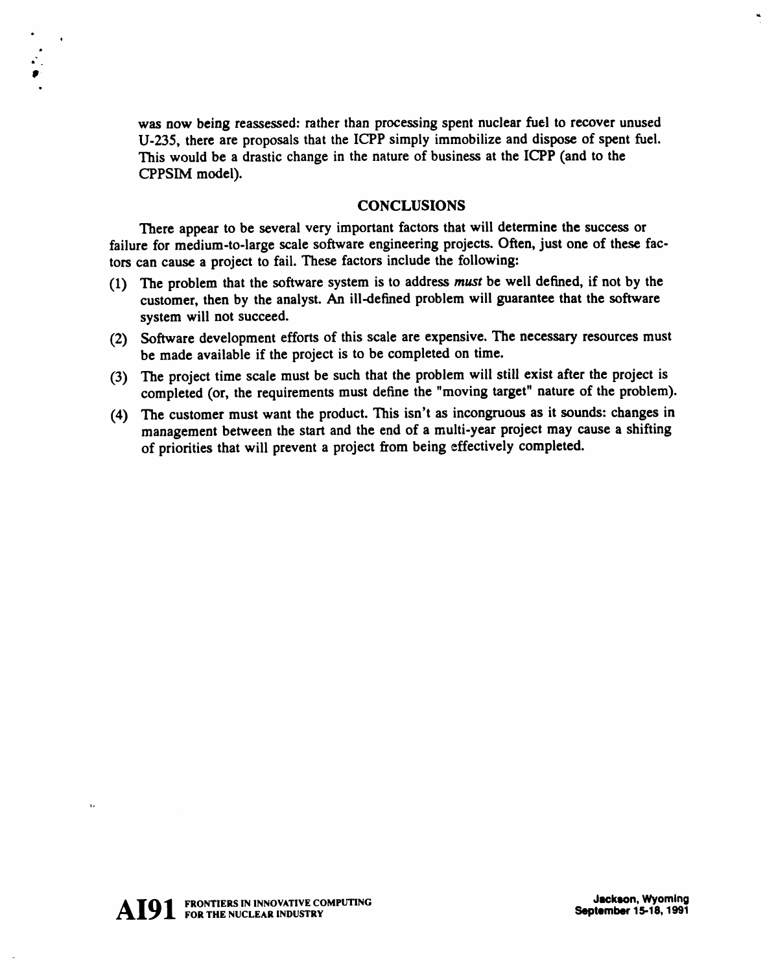**was now being reassessed: rat**h**er than processing spent nuclear fuel to recover unused U-235, t**h**ere are proposals that** th**e ICPP simply immobilize and dispose of spent fuel. This would be a drasti***c* **change in the nature of busine**ss **at the ICPP (and to the CPPSIM model).**

### **CONCLUSIONS**

Th**ere ap**pe**ar to be several very i**m**portant fac**t**ors that will determine the success or failure for medium-to-large scale software engineenng projects. Often, just one of these facto**rs **can cause a project to fail.** Th**ese factors include the following:**

- (1) The problem that the software system is to address must be well defined, if not by the **customer, then by the analyst. An iii-de**fin**ed problem will guarantee t**h**at t**h**e** so**f**t**ware system will not succeed.**
- **(2) Software development efforts of t**h**is scale are expensive.** Th**e necessary resources must be made available if t**h**e project is to be completed on time.**
- **(3)** Th**e project time scale must be such that the problem will still exist after the project is completed (or, t**h**e require**m**en**ts **must define t**h**e** "**moving** t**arget**" **nature of the problem).**
- **(4) The customer must want t**h**e product. This isn't as in**co**ngruous as it sounds: changes in management between the s**ta**rt and t**h**e end of a multi-year project may** ca**use a s**h**ifting of priorities that will prevent a project from being effectively completed.**

 $\ddot{\phantom{a}}$